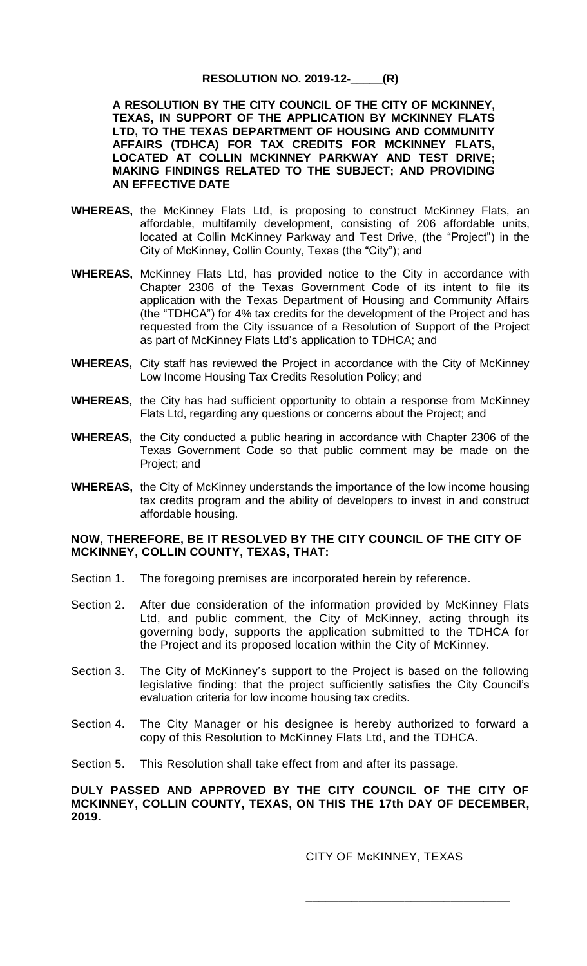## **RESOLUTION NO. 2019-12-\_\_\_\_\_(R)**

**A RESOLUTION BY THE CITY COUNCIL OF THE CITY OF MCKINNEY, TEXAS, IN SUPPORT OF THE APPLICATION BY MCKINNEY FLATS LTD, TO THE TEXAS DEPARTMENT OF HOUSING AND COMMUNITY AFFAIRS (TDHCA) FOR TAX CREDITS FOR MCKINNEY FLATS, LOCATED AT COLLIN MCKINNEY PARKWAY AND TEST DRIVE; MAKING FINDINGS RELATED TO THE SUBJECT; AND PROVIDING AN EFFECTIVE DATE**

- WHEREAS, the McKinney Flats Ltd, is proposing to construct McKinney Flats, an affordable, multifamily development, consisting of 206 affordable units, located at Collin McKinney Parkway and Test Drive, (the "Project") in the City of McKinney, Collin County, Texas (the "City"); and
- **WHEREAS,** McKinney Flats Ltd, has provided notice to the City in accordance with Chapter 2306 of the Texas Government Code of its intent to file its application with the Texas Department of Housing and Community Affairs (the "TDHCA") for 4% tax credits for the development of the Project and has requested from the City issuance of a Resolution of Support of the Project as part of McKinney Flats Ltd's application to TDHCA; and
- **WHEREAS,** City staff has reviewed the Project in accordance with the City of McKinney Low Income Housing Tax Credits Resolution Policy; and
- **WHEREAS,** the City has had sufficient opportunity to obtain a response from McKinney Flats Ltd, regarding any questions or concerns about the Project; and
- **WHEREAS,** the City conducted a public hearing in accordance with Chapter 2306 of the Texas Government Code so that public comment may be made on the Project; and
- **WHEREAS,** the City of McKinney understands the importance of the low income housing tax credits program and the ability of developers to invest in and construct affordable housing.

## **NOW, THEREFORE, BE IT RESOLVED BY THE CITY COUNCIL OF THE CITY OF MCKINNEY, COLLIN COUNTY, TEXAS, THAT:**

- Section 1. The foregoing premises are incorporated herein by reference.
- Section 2. After due consideration of the information provided by McKinney Flats Ltd, and public comment, the City of McKinney, acting through its governing body, supports the application submitted to the TDHCA for the Project and its proposed location within the City of McKinney.
- Section 3. The City of McKinney's support to the Project is based on the following legislative finding: that the project sufficiently satisfies the City Council's evaluation criteria for low income housing tax credits.
- Section 4. The City Manager or his designee is hereby authorized to forward a copy of this Resolution to McKinney Flats Ltd, and the TDHCA.
- Section 5. This Resolution shall take effect from and after its passage.

## **DULY PASSED AND APPROVED BY THE CITY COUNCIL OF THE CITY OF MCKINNEY, COLLIN COUNTY, TEXAS, ON THIS THE 17th DAY OF DECEMBER, 2019.**

CITY OF McKINNEY, TEXAS

\_\_\_\_\_\_\_\_\_\_\_\_\_\_\_\_\_\_\_\_\_\_\_\_\_\_\_\_\_\_\_